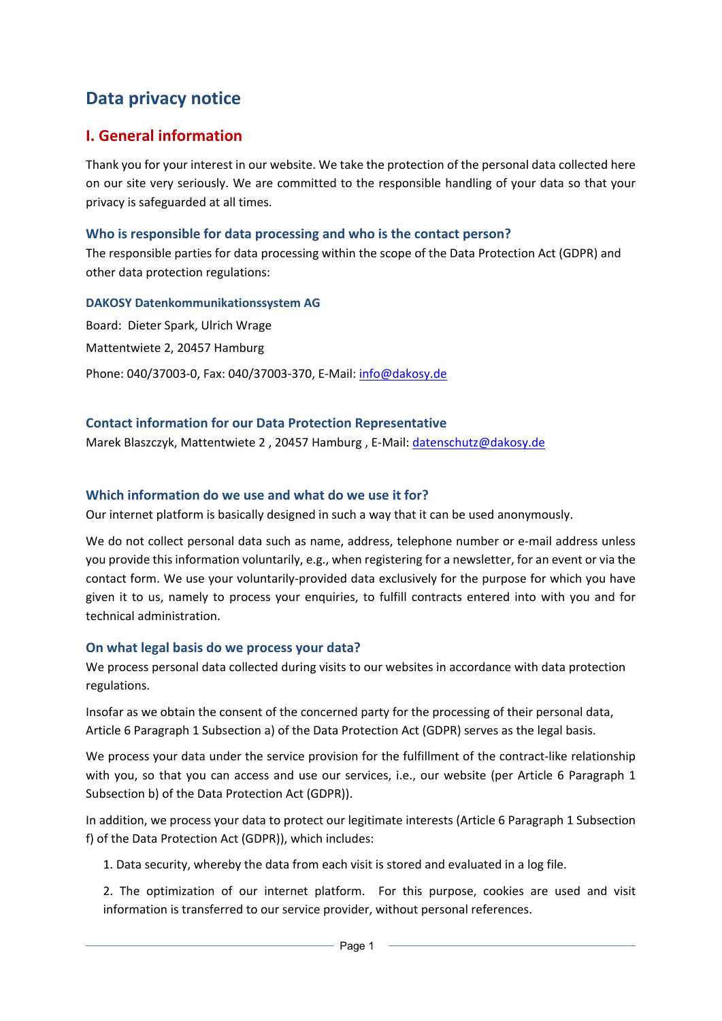# **Data privacy notice**

# **I. General information**

Thank you for your interest in our website. We take the protection of the personal data collected here on our site very seriously. We are committed to the responsible handling of your data so that your privacy is safeguarded at all times.

#### **Who is responsible for data processing and who is the contact person?**

The responsible parties for data processing within the scope of the Data Protection Act (GDPR) and other data protection regulations:

#### **DAKOSY Datenkommunikationssystem AG**

Board: Dieter Spark, Ulrich Wrage Mattentwiete 2, 20457 Hamburg Phone: 040/37003‐0, Fax: 040/37003‐370, E‐Mail: info@dakosy.de

#### **Contact information for our Data Protection Representative**

Marek Blaszczyk, Mattentwiete 2, 20457 Hamburg, E-Mail: datenschutz@dakosy.de

#### **Which information do we use and what do we use it for?**

Our internet platform is basically designed in such a way that it can be used anonymously.

We do not collect personal data such as name, address, telephone number or e-mail address unless you provide this information voluntarily, e.g., when registering for a newsletter, for an event or via the contact form. We use your voluntarily‐provided data exclusively for the purpose for which you have given it to us, namely to process your enquiries, to fulfill contracts entered into with you and for technical administration.

### **On what legal basis do we process your data?**

We process personal data collected during visits to our websites in accordance with data protection regulations.

Insofar as we obtain the consent of the concerned party for the processing of their personal data, Article 6 Paragraph 1 Subsection a) of the Data Protection Act (GDPR) serves as the legal basis.

We process your data under the service provision for the fulfillment of the contract-like relationship with you, so that you can access and use our services, i.e., our website (per Article 6 Paragraph 1 Subsection b) of the Data Protection Act (GDPR)).

In addition, we process your data to protect our legitimate interests (Article 6 Paragraph 1 Subsection f) of the Data Protection Act (GDPR)), which includes:

1. Data security, whereby the data from each visit is stored and evaluated in a log file.

2. The optimization of our internet platform. For this purpose, cookies are used and visit information is transferred to our service provider, without personal references.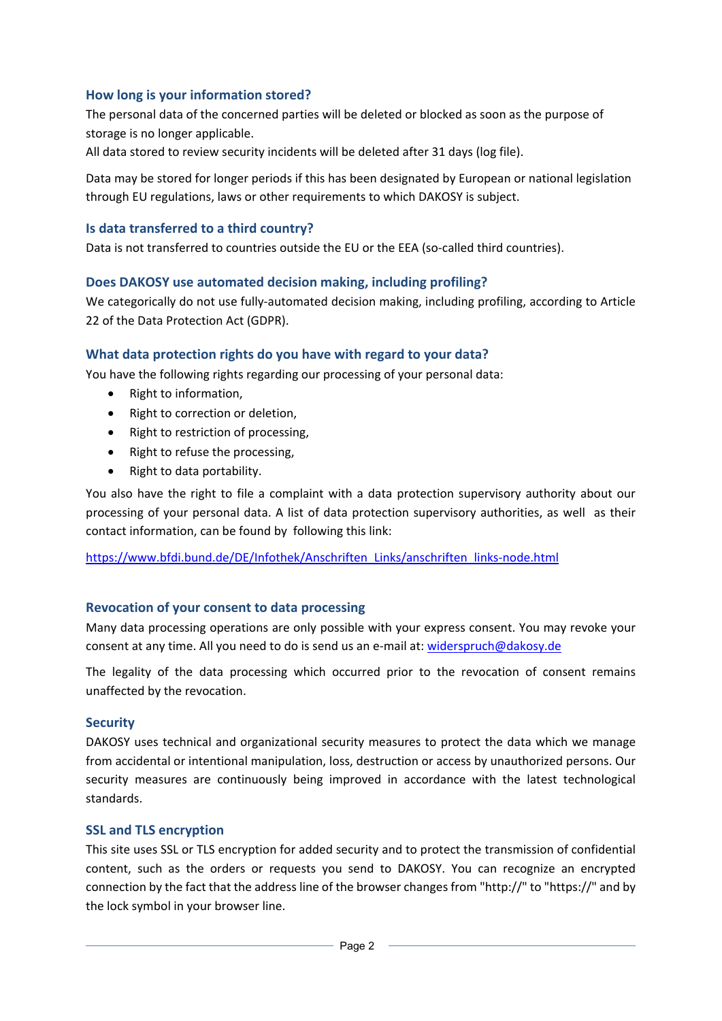#### **How long is your information stored?**

The personal data of the concerned parties will be deleted or blocked as soon as the purpose of storage is no longer applicable.

All data stored to review security incidents will be deleted after 31 days (log file).

Data may be stored for longer periods if this has been designated by European or national legislation through EU regulations, laws or other requirements to which DAKOSY is subject.

#### **Is data transferred to a third country?**

Data is not transferred to countries outside the EU or the EEA (so-called third countries).

#### **Does DAKOSY use automated decision making, including profiling?**

We categorically do not use fully-automated decision making, including profiling, according to Article 22 of the Data Protection Act (GDPR).

#### **What data protection rights do you have with regard to your data?**

You have the following rights regarding our processing of your personal data:

- Right to information,
- Right to correction or deletion,
- Right to restriction of processing,
- Right to refuse the processing,
- Right to data portability.

You also have the right to file a complaint with a data protection supervisory authority about our processing of your personal data. A list of data protection supervisory authorities, as well as their contact information, can be found by following this link:

https://www.bfdi.bund.de/DE/Infothek/Anschriften\_Links/anschriften\_links-node.html

#### **Revocation of your consent to data processing**

Many data processing operations are only possible with your express consent. You may revoke your consent at any time. All you need to do is send us an e-mail at: widerspruch@dakosy.de

The legality of the data processing which occurred prior to the revocation of consent remains unaffected by the revocation.

#### **Security**

DAKOSY uses technical and organizational security measures to protect the data which we manage from accidental or intentional manipulation, loss, destruction or access by unauthorized persons. Our security measures are continuously being improved in accordance with the latest technological standards.

#### **SSL and TLS encryption**

This site uses SSL or TLS encryption for added security and to protect the transmission of confidential content, such as the orders or requests you send to DAKOSY. You can recognize an encrypted connection by the fact that the address line of the browser changes from "http://" to "https://" and by the lock symbol in your browser line.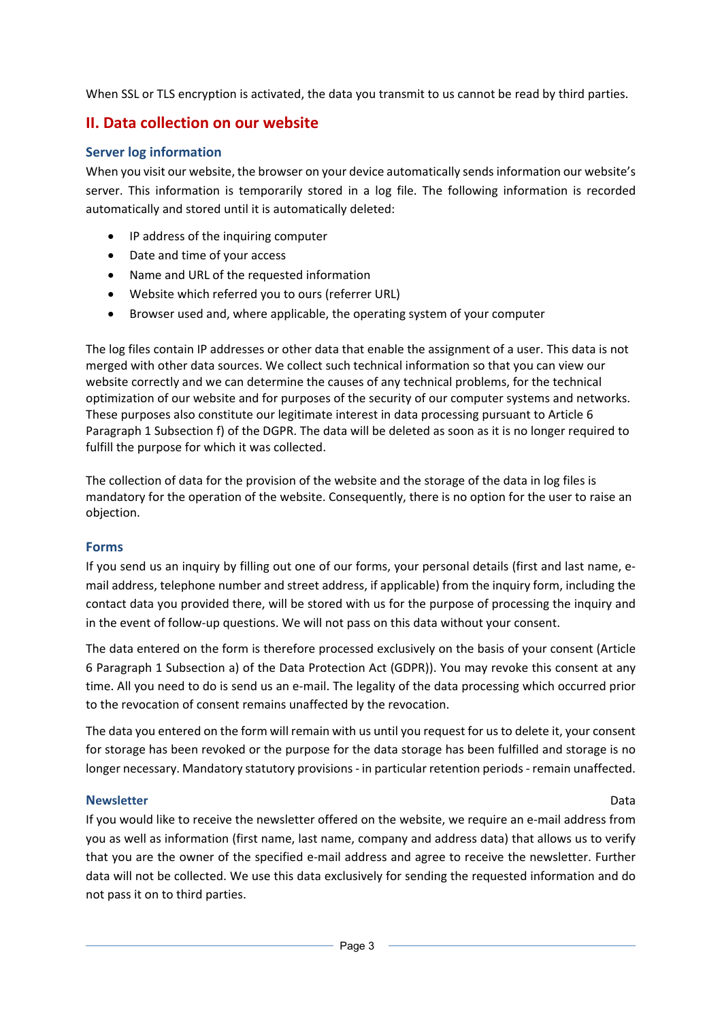When SSL or TLS encryption is activated, the data you transmit to us cannot be read by third parties.

# **II. Data collection on our website**

### **Server log information**

When you visit our website, the browser on your device automatically sends information our website's server. This information is temporarily stored in a log file. The following information is recorded automatically and stored until it is automatically deleted:

- IP address of the inquiring computer
- Date and time of your access
- Name and URL of the requested information
- Website which referred you to ours (referrer URL)
- Browser used and, where applicable, the operating system of your computer

The log files contain IP addresses or other data that enable the assignment of a user. This data is not merged with other data sources. We collect such technical information so that you can view our website correctly and we can determine the causes of any technical problems, for the technical optimization of our website and for purposes of the security of our computer systems and networks. These purposes also constitute our legitimate interest in data processing pursuant to Article 6 Paragraph 1 Subsection f) of the DGPR. The data will be deleted as soon as it is no longer required to fulfill the purpose for which it was collected.

The collection of data for the provision of the website and the storage of the data in log files is mandatory for the operation of the website. Consequently, there is no option for the user to raise an objection.

### **Forms**

If you send us an inquiry by filling out one of our forms, your personal details (first and last name, e‐ mail address, telephone number and street address, if applicable) from the inquiry form, including the contact data you provided there, will be stored with us for the purpose of processing the inquiry and in the event of follow-up questions. We will not pass on this data without your consent.

The data entered on the form is therefore processed exclusively on the basis of your consent (Article 6 Paragraph 1 Subsection a) of the Data Protection Act (GDPR)). You may revoke this consent at any time. All you need to do is send us an e-mail. The legality of the data processing which occurred prior to the revocation of consent remains unaffected by the revocation.

The data you entered on the form will remain with us until you request for usto delete it, your consent for storage has been revoked or the purpose for the data storage has been fulfilled and storage is no longer necessary. Mandatory statutory provisions ‐ in particular retention periods ‐ remain unaffected.

#### **Newsletter** Data

If you would like to receive the newsletter offered on the website, we require an e‐mail address from you as well as information (first name, last name, company and address data) that allows us to verify that you are the owner of the specified e‐mail address and agree to receive the newsletter. Further data will not be collected. We use this data exclusively for sending the requested information and do not pass it on to third parties.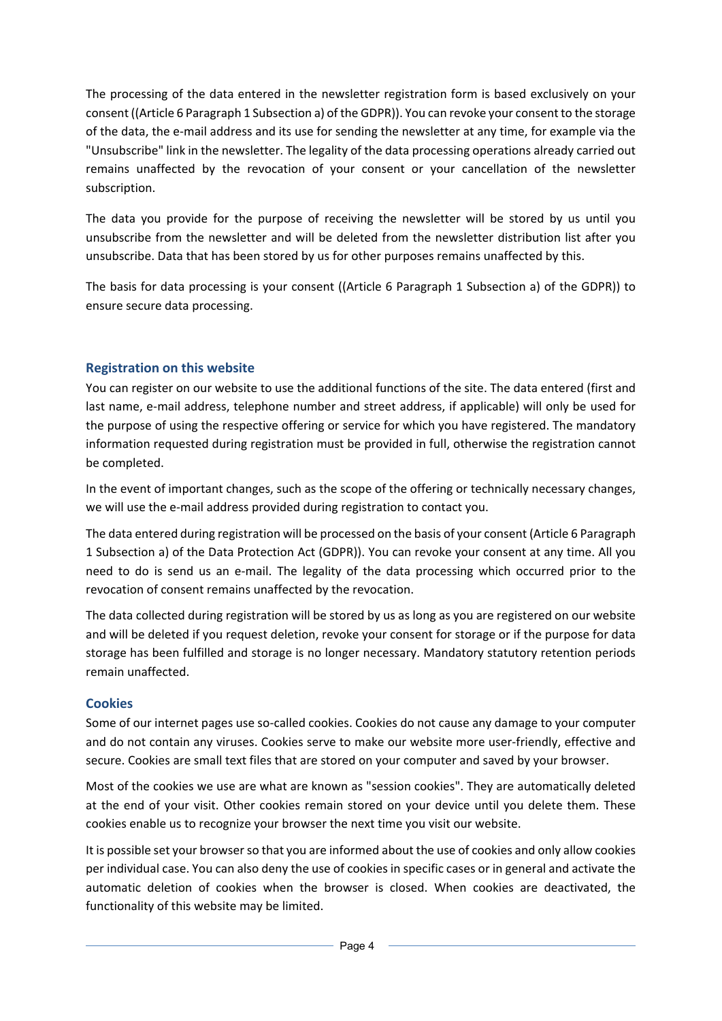The processing of the data entered in the newsletter registration form is based exclusively on your consent ((Article 6 Paragraph 1 Subsection a) of the GDPR)). You can revoke your consent to the storage of the data, the e‐mail address and its use for sending the newsletter at any time, for example via the "Unsubscribe" link in the newsletter. The legality of the data processing operations already carried out remains unaffected by the revocation of your consent or your cancellation of the newsletter subscription.

The data you provide for the purpose of receiving the newsletter will be stored by us until you unsubscribe from the newsletter and will be deleted from the newsletter distribution list after you unsubscribe. Data that has been stored by us for other purposes remains unaffected by this.

The basis for data processing is your consent ((Article 6 Paragraph 1 Subsection a) of the GDPR)) to ensure secure data processing.

## **Registration on this website**

You can register on our website to use the additional functions of the site. The data entered (first and last name, e-mail address, telephone number and street address, if applicable) will only be used for the purpose of using the respective offering or service for which you have registered. The mandatory information requested during registration must be provided in full, otherwise the registration cannot be completed.

In the event of important changes, such as the scope of the offering or technically necessary changes, we will use the e-mail address provided during registration to contact you.

The data entered during registration will be processed on the basis of your consent (Article 6 Paragraph 1 Subsection a) of the Data Protection Act (GDPR)). You can revoke your consent at any time. All you need to do is send us an e‐mail. The legality of the data processing which occurred prior to the revocation of consent remains unaffected by the revocation.

The data collected during registration will be stored by us as long as you are registered on our website and will be deleted if you request deletion, revoke your consent for storage or if the purpose for data storage has been fulfilled and storage is no longer necessary. Mandatory statutory retention periods remain unaffected.

### **Cookies**

Some of our internet pages use so-called cookies. Cookies do not cause any damage to your computer and do not contain any viruses. Cookies serve to make our website more user-friendly, effective and secure. Cookies are small text files that are stored on your computer and saved by your browser.

Most of the cookies we use are what are known as "session cookies". They are automatically deleted at the end of your visit. Other cookies remain stored on your device until you delete them. These cookies enable us to recognize your browser the next time you visit our website.

It is possible set your browserso that you are informed about the use of cookies and only allow cookies per individual case. You can also deny the use of cookies in specific cases or in general and activate the automatic deletion of cookies when the browser is closed. When cookies are deactivated, the functionality of this website may be limited.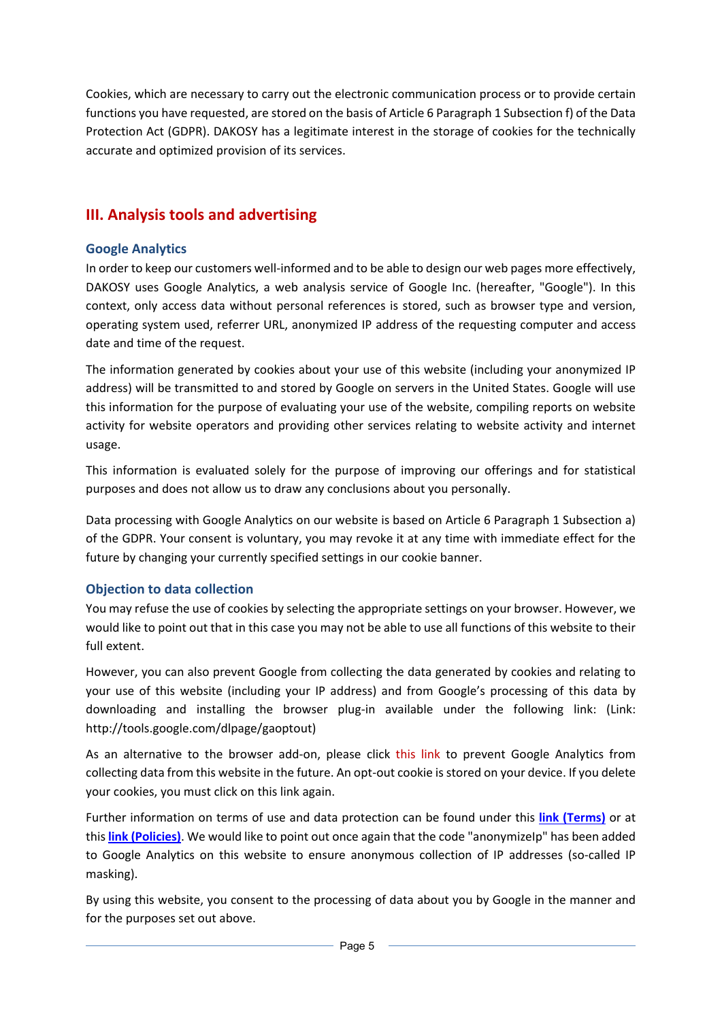Cookies, which are necessary to carry out the electronic communication process or to provide certain functions you have requested, are stored on the basis of Article 6 Paragraph 1 Subsection f) of the Data Protection Act (GDPR). DAKOSY has a legitimate interest in the storage of cookies for the technically accurate and optimized provision of its services.

# **III. Analysis tools and advertising**

# **Google Analytics**

In order to keep our customers well‐informed and to be able to design our web pages more effectively, DAKOSY uses Google Analytics, a web analysis service of Google Inc. (hereafter, "Google"). In this context, only access data without personal references is stored, such as browser type and version, operating system used, referrer URL, anonymized IP address of the requesting computer and access date and time of the request.

The information generated by cookies about your use of this website (including your anonymized IP address) will be transmitted to and stored by Google on servers in the United States. Google will use this information for the purpose of evaluating your use of the website, compiling reports on website activity for website operators and providing other services relating to website activity and internet usage.

This information is evaluated solely for the purpose of improving our offerings and for statistical purposes and does not allow us to draw any conclusions about you personally.

Data processing with Google Analytics on our website is based on Article 6 Paragraph 1 Subsection a) of the GDPR. Your consent is voluntary, you may revoke it at any time with immediate effect for the future by changing your currently specified settings in our cookie banner.

# **Objection to data collection**

You may refuse the use of cookies by selecting the appropriate settings on your browser. However, we would like to point out that in this case you may not be able to use all functions of this website to their full extent.

However, you can also prevent Google from collecting the data generated by cookies and relating to your use of this website (including your IP address) and from Google's processing of this data by downloading and installing the browser plug-in available under the following link: (Link: http://tools.google.com/dlpage/gaoptout)

As an alternative to the browser add-on, please click this link to prevent Google Analytics from collecting data from this website in the future. An opt-out cookie is stored on your device. If you delete your cookies, you must click on this link again.

Further information on terms of use and data protection can be found under this **link (Terms)** or at this **link (Policies)**. We would like to point out once again that the code "anonymizeIp" has been added to Google Analytics on this website to ensure anonymous collection of IP addresses (so-called IP masking).

By using this website, you consent to the processing of data about you by Google in the manner and for the purposes set out above.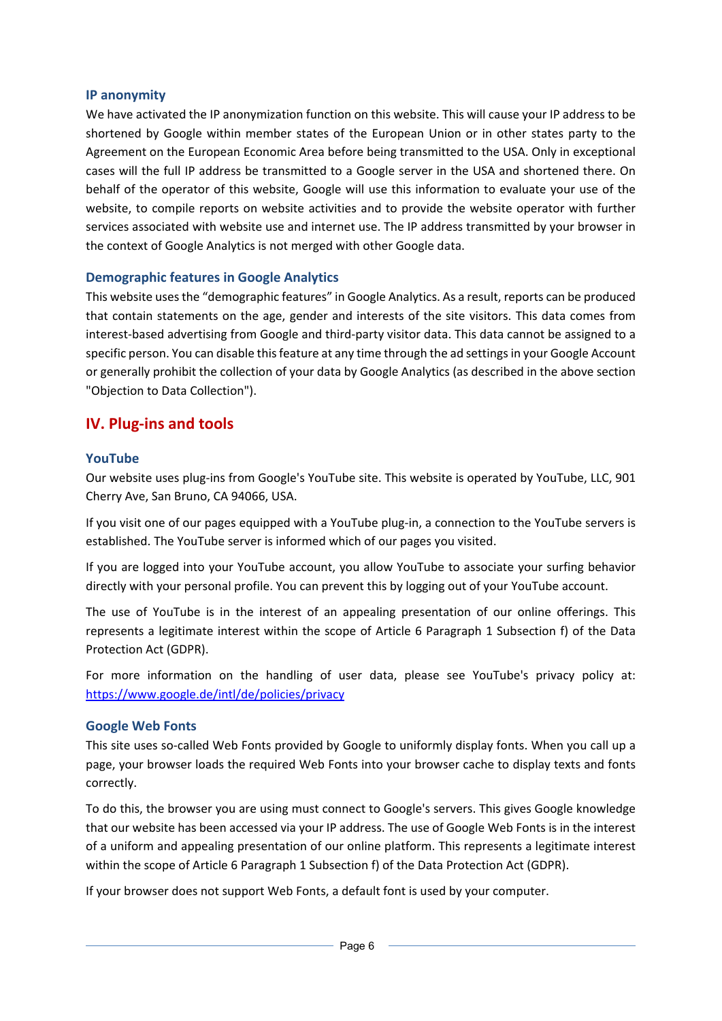#### **IP anonymity**

We have activated the IP anonymization function on this website. This will cause your IP address to be shortened by Google within member states of the European Union or in other states party to the Agreement on the European Economic Area before being transmitted to the USA. Only in exceptional cases will the full IP address be transmitted to a Google server in the USA and shortened there. On behalf of the operator of this website, Google will use this information to evaluate your use of the website, to compile reports on website activities and to provide the website operator with further services associated with website use and internet use. The IP address transmitted by your browser in the context of Google Analytics is not merged with other Google data.

### **Demographic features in Google Analytics**

This website usesthe "demographic features" in Google Analytics. As a result, reports can be produced that contain statements on the age, gender and interests of the site visitors. This data comes from interest‐based advertising from Google and third‐party visitor data. This data cannot be assigned to a specific person. You can disable this feature at any time through the ad settings in your Google Account or generally prohibit the collection of your data by Google Analytics (as described in the above section "Objection to Data Collection").

# **IV. Plug‐ins and tools**

### **YouTube**

Our website uses plug‐ins from Google's YouTube site. This website is operated by YouTube, LLC, 901 Cherry Ave, San Bruno, CA 94066, USA.

If you visit one of our pages equipped with a YouTube plug-in, a connection to the YouTube servers is established. The YouTube server is informed which of our pages you visited.

If you are logged into your YouTube account, you allow YouTube to associate your surfing behavior directly with your personal profile. You can prevent this by logging out of your YouTube account.

The use of YouTube is in the interest of an appealing presentation of our online offerings. This represents a legitimate interest within the scope of Article 6 Paragraph 1 Subsection f) of the Data Protection Act (GDPR).

For more information on the handling of user data, please see YouTube's privacy policy at: https://www.google.de/intl/de/policies/privacy

#### **Google Web Fonts**

This site uses so-called Web Fonts provided by Google to uniformly display fonts. When you call up a page, your browser loads the required Web Fonts into your browser cache to display texts and fonts correctly.

To do this, the browser you are using must connect to Google's servers. This gives Google knowledge that our website has been accessed via your IP address. The use of Google Web Fonts is in the interest of a uniform and appealing presentation of our online platform. This represents a legitimate interest within the scope of Article 6 Paragraph 1 Subsection f) of the Data Protection Act (GDPR).

If your browser does not support Web Fonts, a default font is used by your computer.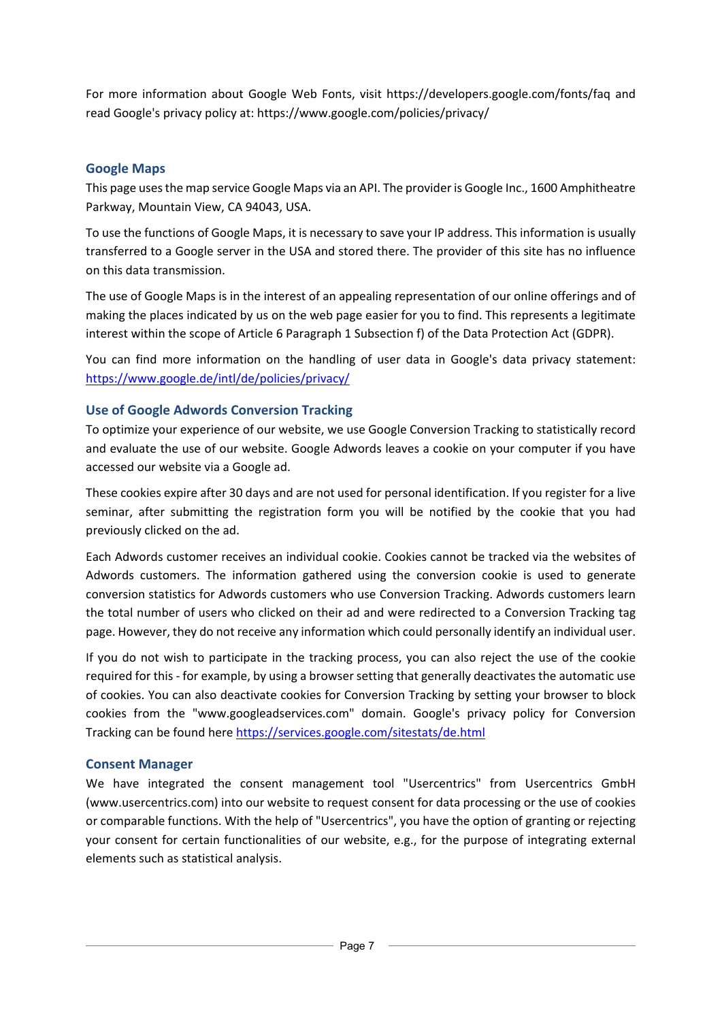For more information about Google Web Fonts, visit https://developers.google.com/fonts/faq and read Google's privacy policy at: https://www.google.com/policies/privacy/

## **Google Maps**

This page usesthe map service Google Maps via an API. The provider is Google Inc., 1600 Amphitheatre Parkway, Mountain View, CA 94043, USA.

To use the functions of Google Maps, it is necessary to save your IP address. This information is usually transferred to a Google server in the USA and stored there. The provider of this site has no influence on this data transmission.

The use of Google Maps is in the interest of an appealing representation of our online offerings and of making the places indicated by us on the web page easier for you to find. This represents a legitimate interest within the scope of Article 6 Paragraph 1 Subsection f) of the Data Protection Act (GDPR).

You can find more information on the handling of user data in Google's data privacy statement: https://www.google.de/intl/de/policies/privacy/

### **Use of Google Adwords Conversion Tracking**

To optimize your experience of our website, we use Google Conversion Tracking to statistically record and evaluate the use of our website. Google Adwords leaves a cookie on your computer if you have accessed our website via a Google ad.

These cookies expire after 30 days and are not used for personal identification. If you register for a live seminar, after submitting the registration form you will be notified by the cookie that you had previously clicked on the ad.

Each Adwords customer receives an individual cookie. Cookies cannot be tracked via the websites of Adwords customers. The information gathered using the conversion cookie is used to generate conversion statistics for Adwords customers who use Conversion Tracking. Adwords customers learn the total number of users who clicked on their ad and were redirected to a Conversion Tracking tag page. However, they do not receive any information which could personally identify an individual user.

If you do not wish to participate in the tracking process, you can also reject the use of the cookie required for this ‐ for example, by using a browser setting that generally deactivates the automatic use of cookies. You can also deactivate cookies for Conversion Tracking by setting your browser to block cookies from the "www.googleadservices.com" domain. Google's privacy policy for Conversion Tracking can be found here https://services.google.com/sitestats/de.html

### **Consent Manager**

We have integrated the consent management tool "Usercentrics" from Usercentrics GmbH (www.usercentrics.com) into our website to request consent for data processing or the use of cookies or comparable functions. With the help of "Usercentrics", you have the option of granting or rejecting your consent for certain functionalities of our website, e.g., for the purpose of integrating external elements such as statistical analysis.